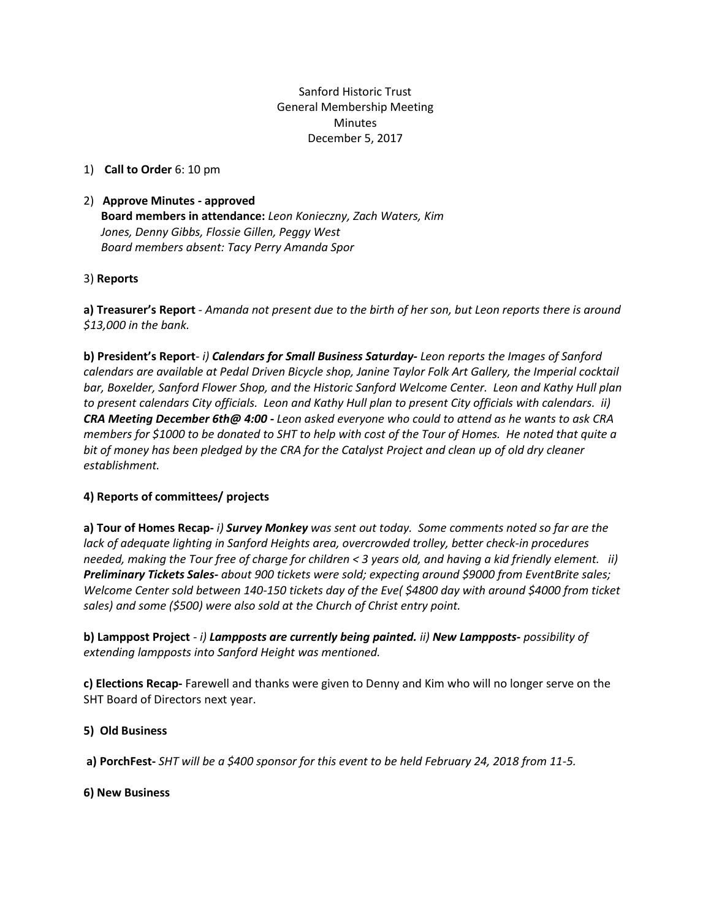Sanford Historic Trust General Membership Meeting **Minutes** December 5, 2017

1) **Call to Order** 6: 10 pm

2) **Approve Minutes - approved Board members in attendance:** *Leon Konieczny, Zach Waters, Kim Jones, Denny Gibbs, Flossie Gillen, Peggy West Board members absent: Tacy Perry Amanda Spor*

## 3) **Reports**

a) Treasurer's Report - Amanda not present due to the birth of her son, but Leon reports there is around *\$13,000 in the bank.*

**b) President's Report***- i) Calendars for Small Business Saturday- Leon reports the Images of Sanford calendars are available at Pedal Driven Bicycle shop, Janine Taylor Folk Art Gallery, the Imperial cocktail bar, Boxelder, Sanford Flower Shop, and the Historic Sanford Welcome Center. Leon and Kathy Hull plan to present calendars City officials. Leon and Kathy Hull plan to present City officials with calendars. ii)* CRA Meeting December 6th@ 4:00 - Leon asked everyone who could to attend as he wants to ask CRA members for \$1000 to be donated to SHT to help with cost of the Tour of Homes. He noted that quite a bit of money has been pledged by the CRA for the Catalyst Project and clean up of old dry cleaner *establishment.*

## **4) Reports of committees/ projects**

**a) Tour of Homes Recap-** *i) Survey Monkey was sent out today. Some comments noted so far are the lack of adequate lighting in Sanford Heights area, overcrowded trolley, better check-in procedures* needed, making the Tour free of charge for children < 3 years old, and having a kid friendly element. ii) *Preliminary Tickets Sales- about 900 tickets were sold; expecting around \$9000 from EventBrite sales; Welcome Center sold between 140-150 tickets day of the Eve( \$4800 day with around \$4000 from ticket sales) and some (\$500) were also sold at the Church of Christ entry point.*

**b) Lamppost Project** *- i) Lampposts are currently being painted. ii) New Lampposts- possibility of extending lampposts into Sanford Height was mentioned.*

**c) Elections Recap-** Farewell and thanks were given to Denny and Kim who will no longer serve on the SHT Board of Directors next year.

## **5) Old Business**

a) PorchFest-SHT will be a \$400 sponsor for this event to be held February 24, 2018 from 11-5.

**6) New Business**